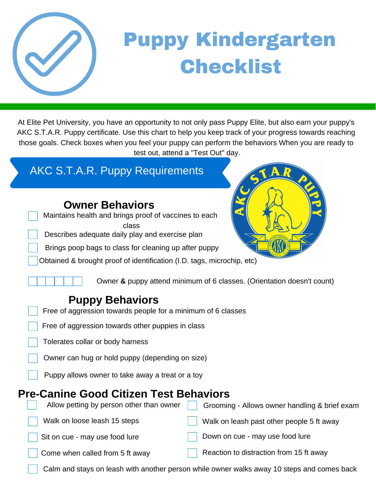

## Puppy Kindergarten Checklist

At Elite Pet University, you have an opportunity to not only pass Puppy Elite, but also earn your puppy's AKC S.T.A.R. Puppy certificate. Use this chart to help you keep track of your progress towards reaching those goals. Check boxes when you feel your puppy can perform the behaviors When you are ready to test out, attend a "Test Out" day.

#### AKC S.T.A.R. Puppy Requirements

Maintains health and brings proof of vaccines to each class

- Describes adequate daily play and exercise plan
- Brings poop bags to class for cleaning up after puppy

Obtained & brought proof of identification (I.D. tags, microchip, etc)

Owner **&** puppy attend minimum of 6 classes. (Orientation doesn't count)

#### **Puppy Behaviors**

- Free of aggression towards people for a minimum of 6 classes
- Free of aggression towards other puppies in class
- Tolerates collar or body harness

Owner can hug or hold puppy (depending on size)

Puppy allows owner to take away a treat or a toy

#### **Pre-Canine Good Citizen Test Behaviors**

Allow petting by person other than owner  $\Box$  Grooming - Allows owner handling & brief exam Walk on loose leash 15 steps Walk on leash past other people 5 ft away Sit on cue - may use food lure **Down on cue - may use food lure** Come when called from 5 ft away Reaction to distraction from 15 ft away

Calm and stays on leash with another person while owner walks away 10 steps and comes back